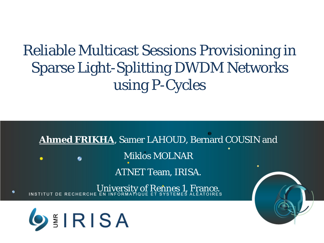#### Reliable Multicast Sessions Provisioning in Sparse Light-Splitting DWDM Networks using P-Cycles

**Ahmed FRIKHA**, Samer LAHOUD, Bernard COUSIN and Miklos MOLNAR ٠ ATNET Team, IRISA.

University of Rennes 1, France.



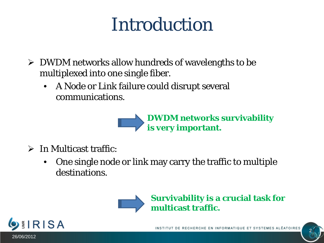### Introduction

- $\triangleright$  DWDM networks allow hundreds of wavelengths to be multiplexed into one single fiber.
	- A Node or Link failure could disrupt several communications.



- $\triangleright$  In Multicast traffic:
	- One single node or link may carry the traffic to multiple destinations.



**Survivability is a crucial task for multicast traffic.**

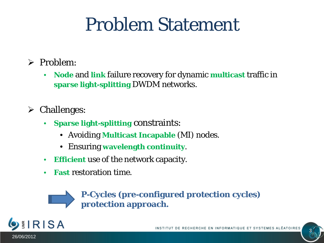### Problem Statement

- $\triangleright$  Problem:
	- **Node** and **link** failure recovery for dynamic **multicast** traffic in **sparse light-splitting** DWDM networks.
- $\triangleright$  Challenges:
	- **Sparse light-splitting** constraints:
		- Avoiding **Multicast Incapable** (MI) nodes.
		- Ensuring **wavelength continuity**.
	- **Efficient** use of the network capacity.
	- **Fast** restoration time.



**P-Cycles (pre-configured protection cycles) protection approach.**

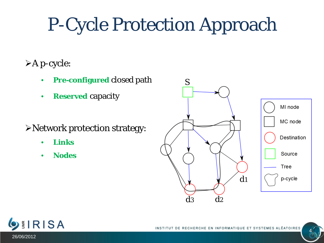# P-Cycle Protection Approach

#### A p-cycle:

- **Pre-configured** closed path
- **Reserved** capacity
- Network protection strategy:
	- **Links**
	- **Nodes**



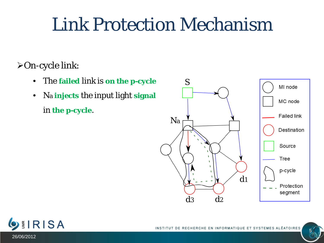#### Link Protection Mechanism

On-cycle link:

- The **failed** link is **on the p-cycle**
- Na **injects** the input light **signal** in **the p-cycle**.



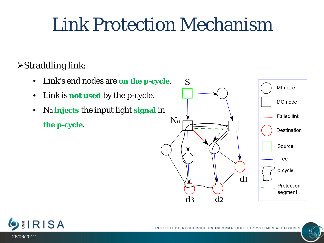#### Link Protection Mechanism

#### Straddling link:

- Link's end nodes are **on the p-cycle**.
- Link is **not used** by the p-cycle.
- Na **injects** the input light **signal** in

**the p-cycle.** Na



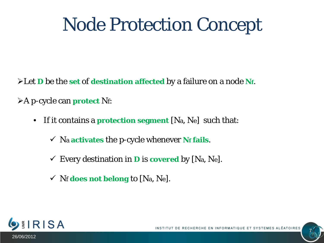Let *D* be the **set** of **destination affected** by a failure on a node **Nf**.

A p-cycle can **protect** Nf:

- If it contains a **protection segment** [Na, Ne] such that:
	- $\checkmark$  Na **activates** the p-cycle whenever **Nf** fails.
	- $\checkmark$  Every destination in **D** is **covered** by [Na, Ne].
	- Nf **does not belong** to [Na, Ne].

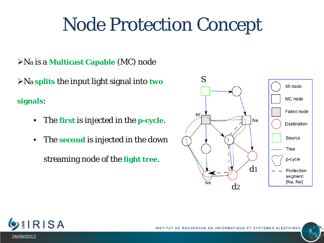Na is a **Multicast Capable** (MC) node

Na **splits** the input light signal into **two** 

**signals**:

- The **first** is injected in the **p-cycle**.
- The **second** is injected in the down

streaming node of the **light tree**.



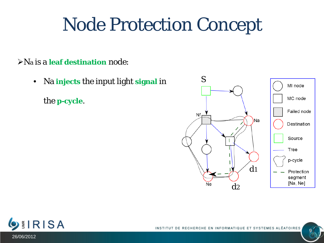Na is a **leaf destination** node:

• Na **injects** the input light **signal** in

the **p-cycle**.



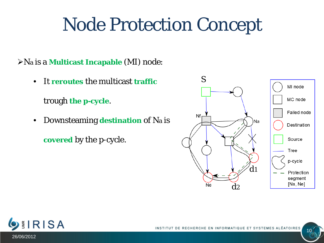Na is a **Multicast Incapable** (MI) node:

• It **reroutes** the multicast **traffic**

trough **the p-cycle**.

• Downsteaming **destination** of Na is **covered** by the p-cycle.



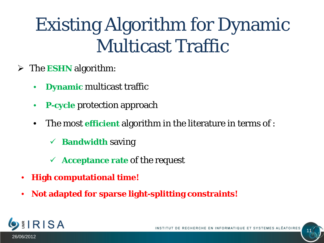## Existing Algorithm for Dynamic Multicast Traffic

- The **ESHN** algorithm:
	- **Dynamic** multicast traffic
	- **P**-cycle protection approach
	- The most **efficient** algorithm in the literature in terms of :
		- **Bandwidth** saving
		- **Acceptance rate** of the request
	- **High computational time!**
	- **Not adapted for sparse light-splitting constraints!**

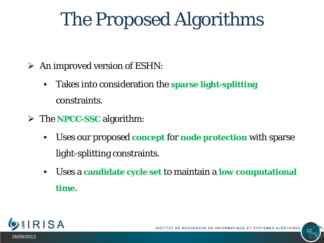## The Proposed Algorithms

- $\triangleright$  An improved version of ESHN:
	- Takes into consideration the **sparse light-splitting** constraints.
- The **NPCC-SSC** algorithm:
	- Uses our proposed **concept** for **node protection** with sparse light-splitting constraints.
	- Uses a **candidate cycle set** to maintain a **low computational time**.

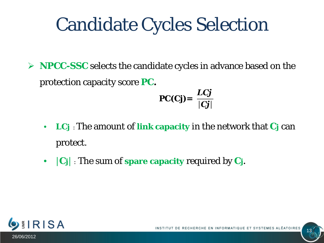## Candidate Cycles Selection

**NPCC-SSC** selects the candidate cycles in advance based on the protection capacity score *PC.*

$$
PC(Cj) = \frac{LCj}{|Cj|}
$$

- *LCj* : The amount of **link capacity** in the network that *Cj* can protect.
- |*Cj*| : The sum of **spare capacity** required by *Cj.*

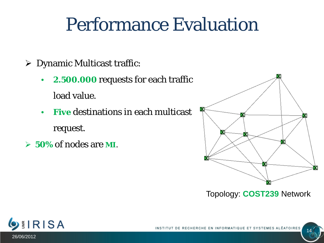### Performance Evaluation

- Dynamic Multicast traffic:
	- **2.500.000** requests for each traffic load value.
	- **Five** destinations in each multicast request.
- **50%** of nodes are **MI**.



Topology: **COST239** Network



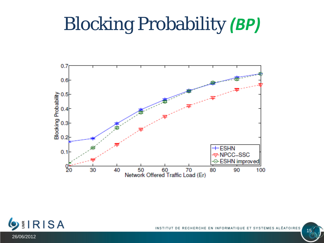## Blocking Probability *(BP)*





15

26/06/2012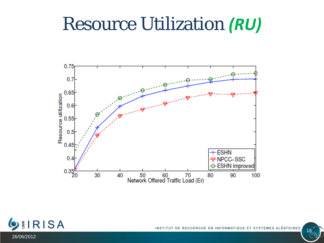#### Resource Utilization *(RU)*



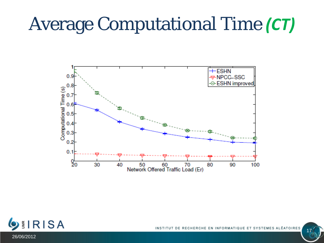## Average Computational Time *(CT)*



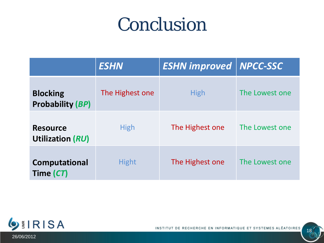#### Conclusion

|                                            | <b>ESHN</b>     | <b>ESHN improved</b> | <b>NPCC-SSC</b> |
|--------------------------------------------|-----------------|----------------------|-----------------|
| <b>Blocking</b><br><b>Probability (BP)</b> | The Highest one | <b>High</b>          | The Lowest one  |
| <b>Resource</b><br>Utilization (RU)        | <b>High</b>     | The Highest one      | The Lowest one  |
| <b>Computational</b><br>Time (CT)          | <b>Hight</b>    | The Highest one      | The Lowest one  |



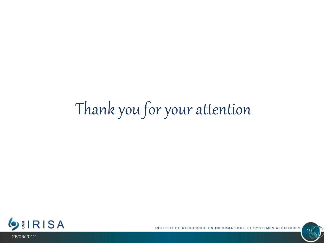## Thank you for your attention



RECHERCHE EN INFORMATIQUE ET SYSTEMES ALÉATOIRES INSTITUT DE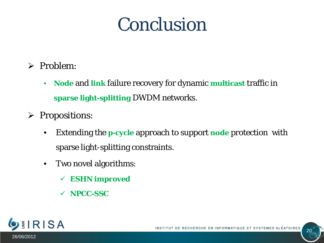#### Conclusion

- $\triangleright$  Problem:
	- **Node** and **link** failure recovery for dynamic **multicast** traffic in **sparse light-splitting** DWDM networks.
- $\triangleright$  Propositions:
	- Extending the **p-cycle** approach to support **node** protection with sparse light-splitting constraints.
	- Two novel algorithms:
		- **ESHN improved**
		- **NPCC-SSC**

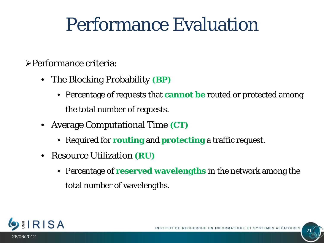### Performance Evaluation

#### Performance criteria:

- The Blocking Probability **(***BP***)**
	- Percentage of requests that **cannot be** routed or protected among the total number of requests.
- Average Computational Time **(***CT***)**
	- Required for **routing** and **protecting** a traffic request.
- Resource Utilization **(***RU***)**
	- Percentage of **reserved wavelengths** in the network among the total number of wavelengths.

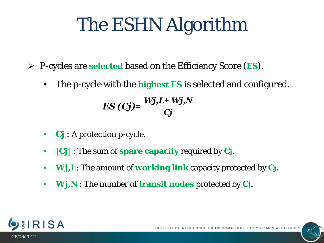## The ESHN Algorithm

- P-cycles are **selected** based on the Efficiency Score (*ES*).
	- The p-cycle with the **highest** *ES* is selected and configured.

$$
ES (Cj)=\frac{Wj,L+Wj,N}{|Cj|}
$$

- *Cj* : A protection p-cycle.
- **|***Cj***|** : The sum of **spare capacity** required by *Cj.*
- *Wj,L*: The amount of **working link** capacity protected by *Cj.*
- *Wj,N* : The number of **transit nodes** protected by *Cj.*